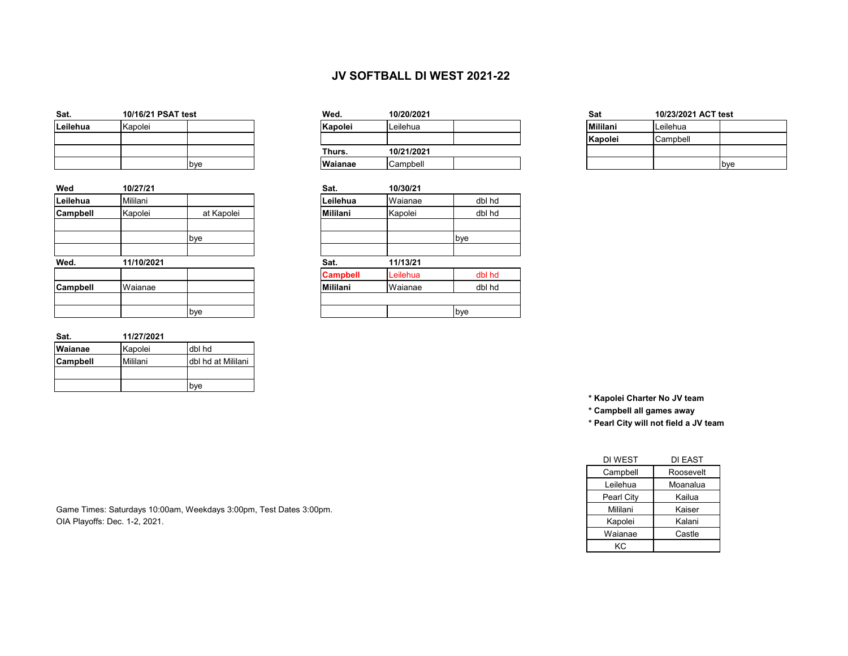## **JV SOFTBALL DI WEST 2021-22**

| Sat.     |         | 10/16/21 PSAT test |  |  |  |  |
|----------|---------|--------------------|--|--|--|--|
| Leilehua | Kapolei |                    |  |  |  |  |
|          |         |                    |  |  |  |  |
|          |         |                    |  |  |  |  |
|          |         | bve                |  |  |  |  |

| Wed      | 10/27/21   |            | Sat.            | 10/30/21 |        |
|----------|------------|------------|-----------------|----------|--------|
| Leilehua | Mililani   |            | Leilehua        | Waianae  | dbl hd |
| Campbell | Kapolei    | at Kapolei | Mililani        | Kapolei  | dbl hd |
|          |            | bye        |                 |          | bye    |
|          |            |            |                 |          |        |
| Wed.     | 11/10/2021 |            | Sat.            | 11/13/21 |        |
|          |            |            | <b>Campbell</b> | Leilehua | dbl hd |
| Campbell | Waianae    |            | Mililani        | Waianae  | dbl hd |
|          |            | bye        |                 |          | bye    |

| Sat.            | 11/27/2021 |                    |
|-----------------|------------|--------------------|
| Waianae         | Kapolei    | dbl hd             |
| <b>Campbell</b> | Mililani   | dbl hd at Mililani |
|                 |            |                    |
|                 |            | bve                |

| Sat.     | 10/16/21 PSAT test |              | Wed.           | 10/20/2021 |  | Sat             | 10/23/2021 ACT test |            |
|----------|--------------------|--------------|----------------|------------|--|-----------------|---------------------|------------|
| Leilehua | Kapolei            |              | Kapolei        | Leilehua   |  | <b>Mililani</b> | Leilehua            |            |
|          |                    |              |                |            |  | Kapolei         | Campbell            |            |
|          |                    |              | Thurs.         | 10/21/2021 |  |                 |                     |            |
|          |                    | <b>I</b> bve | <b>Wajanae</b> | Campbell   |  |                 |                     | <b>bye</b> |

|            | Sat.            | 10/30/21 |        |
|------------|-----------------|----------|--------|
|            | Leilehua        | Waianae  | dbl hd |
| at Kapolei | <b>Mililani</b> | Kapolei  | dbl hd |
| bye        |                 |          | bye    |
|            | Sat.            | 11/13/21 |        |
|            | <b>Campbell</b> | Leilehua | dbl hd |
|            | <b>Mililani</b> | Waianae  | dbl hd |
| bye        |                 |          | bye    |

| Mililani | Leilehua |     |
|----------|----------|-----|
| Kapolei  | Campbell |     |
|          |          |     |
|          |          | bye |

**\* Kapolei Charter No JV team**

**\* Campbell all games away** 

**\* Pearl City will not field a JV team**

| DI WEST    | DI EAST   |
|------------|-----------|
| Campbell   | Roosevelt |
| Leilehua   | Moanalua  |
| Pearl City | Kailua    |
| Mililani   | Kaiser    |
| Kapolei    | Kalani    |
| Waianae    | Castle    |
| КC         |           |

Game Times: Saturdays 10:00am, Weekdays 3:00pm, Test Dates 3:00pm. OIA Playoffs: Dec. 1-2, 2021.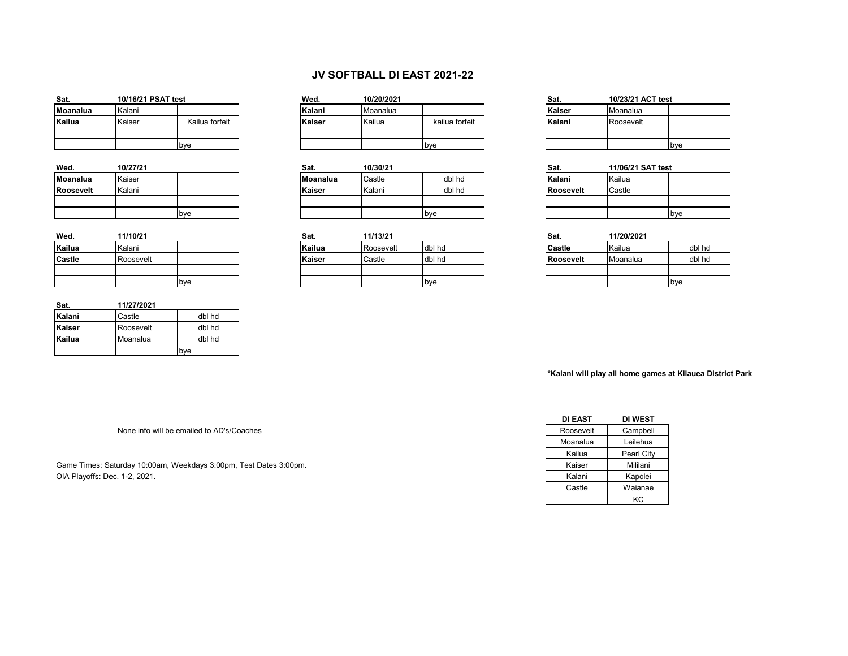## **JV SOFTBALL DI EAST 2021-22**

| Sat.     | 10/16/21 PSAT test |                | Wed.   | 10/20/2021 |                | Sat.   | 10/23/21 ACT test |  |
|----------|--------------------|----------------|--------|------------|----------------|--------|-------------------|--|
| Moanalua | Kalani             |                | Kalani | Moanalua   |                | Kaiser | Moanalua          |  |
| Kailua   | Kaiser             | Kailua forfeit | Kaiser | Kailua     | kailua forfeit | Kalani | Roosevelt         |  |
|          |                    |                |        |            |                |        |                   |  |
|          |                    | bye            |        |            | <b>bye</b>     |        |                   |  |

| Wed.             | 10/27/21 |     |
|------------------|----------|-----|
| <b>Moanalua</b>  | Kaiser   |     |
| <b>Roosevelt</b> | Kalani   |     |
|                  |          |     |
|                  |          | pye |

| Wed.   | 11/10/21  |     | Sat.   | 11/13/21  |        | Sat.          | 11/20/2021 |        |
|--------|-----------|-----|--------|-----------|--------|---------------|------------|--------|
| Kailua | Kalani    |     | Kailua | Roosevelt | dbl hd | <b>Castle</b> | Kailua     | dbl hd |
| Castle | Roosevelt |     | Kaiser | Castle    | dbl hd | Roosevelt     | Moanalua   | dbl hd |
|        |           |     |        |           |        |               |            |        |
|        |           | bye |        |           | bye    |               |            | bye    |

| Sat.   | 11/27/2021 |        |
|--------|------------|--------|
| Kalani | Castle     | dbl hd |
| Kaiser | Roosevelt  | dbl hd |
| Kailua | Moanalua   | dbl hd |
|        |            | bve    |

| Sat.     | 10/16/21 PSAT test |                | Wed.   | 10/20/2021 |                | Sat.   | 10/23/21 . |
|----------|--------------------|----------------|--------|------------|----------------|--------|------------|
| Moanalua | Kalani             |                | Kalani | Moanalua   |                | Kaiser | Moanalua   |
| Kailua   | Kaiser             | Kailua forfeit | Kaiser | Kailua     | kailua forfeit | Kalani | Roosevelt  |
|          |                    |                |        |            |                |        |            |
|          |                    | hve            |        |            | <b>I</b> hve   |        |            |

| Wed.      | 10/27/21 |             | Sat.            | 10/30/21 |             | Sat.      | 11/06/21 SAT test |     |
|-----------|----------|-------------|-----------------|----------|-------------|-----------|-------------------|-----|
| Moanalua  | Kaiser   |             | <b>Moanalua</b> | Castle   | dbl hd      | Kalani    | Kailua            |     |
| Roosevelt | Kalani   |             | Kaiser          | Kalani   | dbl hd      | Roosevelt | Castle            |     |
|           |          |             |                 |          |             |           |                   |     |
|           |          | <b>b</b> ve |                 |          | <b>b</b> ve |           |                   | bye |

|     | Sat.   | 11/13/21  |        | Sat.          | 11/20/2021 |
|-----|--------|-----------|--------|---------------|------------|
|     | Kailua | Roosevelt | dbl hd | <b>Castle</b> | Kailua     |
|     | Kaiser | Castle    | dbl hd | Roosevelt     | Moanalua   |
|     |        |           |        |               |            |
| bye |        |           | bye    |               |            |

| st             | Wed.   | 10/20/2021 |                | Sat.   | 10/23/21 ACT test |              |
|----------------|--------|------------|----------------|--------|-------------------|--------------|
|                | Kalani | Moanalua   |                | Kaiser | Moanalua          |              |
| Kailua forfeit | Kaiser | Kailua     | kailua forfeit | Kalani | Roosevelt         |              |
|                |        |            |                |        |                   |              |
| bye            |        |            | <b>b</b> ve    |        |                   | <b>I</b> bve |

| Sat.<br>11/06/21 SAT test |        |     |  |  |  |
|---------------------------|--------|-----|--|--|--|
| Kalani                    | Kailua |     |  |  |  |
| Roosevelt                 | Castle |     |  |  |  |
|                           |        |     |  |  |  |
|                           |        | bve |  |  |  |

| Sat.             | 11/20/2021 |        |
|------------------|------------|--------|
| Castle           | Kailua     | dbl hd |
| <b>Roosevelt</b> | Moanalua   | dbl hd |
|                  |            |        |
|                  |            | bve    |

**\*Kalani will play all home games at Kilauea District Park**

None info will be emailed to AD's/Coaches

Game Times: Saturday 10:00am, Weekdays 3:00pm, Test Dates 3:00pm. OIA Playoffs: Dec. 1-2, 2021.

| <b>DI EAST</b> | DI WEST    |
|----------------|------------|
| Roosevelt      | Campbell   |
| Moanalua       | Leilehua   |
| Kailua         | Pearl City |
| Kaiser         | Mililani   |
| Kalani         | Kapolei    |
| Castle         | Waianae    |
|                | КC         |